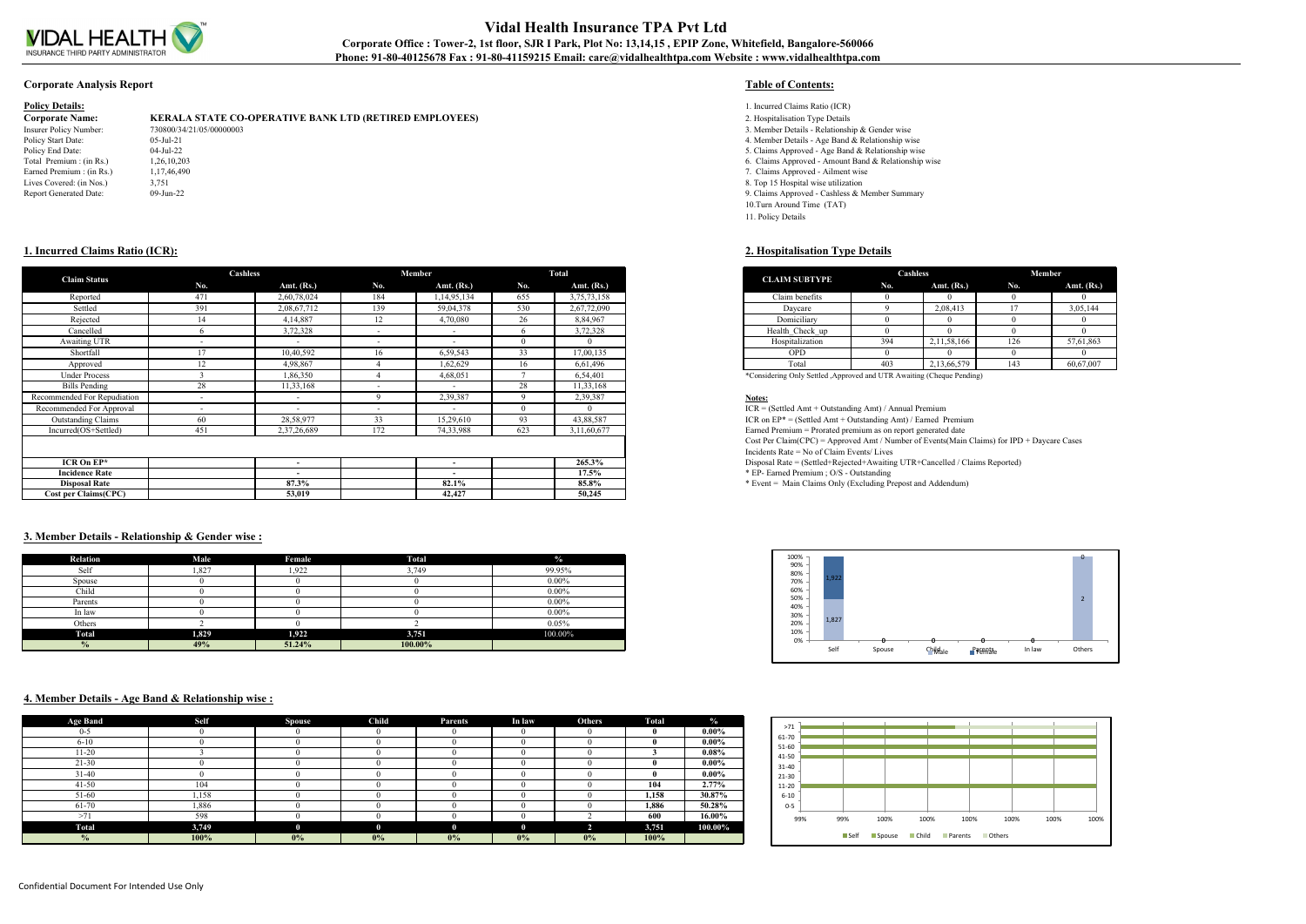

# **Vidal Health Insurance TPA Pvt Ltd** Corporate Office : Tower-2, 1st floor, SJR I Park, Plot No: 13,14,15, EPIP Zone, Whitefield, Bangalore-560066 **Phone: 91-80-40125678 Fax : 91-80-41159215 Email: care@vidalhealthtpa.com Website : www.vidalhealthtpa.com**

### **Corporate Analysis Report Table of Contents:**

| <b>Policy Details:</b> |
|------------------------|
|------------------------|

**Corporate Name: KERALA STATE CO-OPERATIVE BANK LTD (RETIRED EMPLOYEES)** 2. Hospitalisation Type Details<br>
1998/07/34/21/05/00000003<br>
3. Member Details - Relationsh Insurer Policy Number: 730800/34/21/05/00000003 730800/34/21/05/00000003 3. Member Details - Relationship & Gender wise<br>Policy Start Date: 3. Member Details - Age Band & Relationship wise Policy Start Date: 05-Jul-21 05-Jul-21 05-Jul-22 004-Jul-22 004-Jul-22 004-Jul-22 004-Jul-22 004-Jul-22 004-Jul-22 004-Jul-22 004-Jul-22 004-Jul-22 004-Jul-22 004-Jul-22 004-Jul-22 004-Jul-22 004-Jul-22 004-Jul-22 004-Jul-Policy End Date: 04-Jul-22 04-Jul-22 5. Claims Approved - Age Band & Relationship wise<br>Total Premium : (in Rs.) 1,26,10,203 1.26,10,203 6. Claims Approved - Amount Band & Relationship wise Earned Premium : (in Rs.)  $1,17,46,490$ <br>  $2,10,17,46,490$ <br>  $3,751$ <br>  $3,751$ <br>  $3,751$ <br>  $3,751$ Report Generated Date: 09-Jun-22 09-Jun-22 9. Claims Approved - Cashless & Member Summary

- 1. Incurred Claims Ratio (ICR)
- 
- 
- 
- 
- 6. Claims Approved Amount Band & Relationship wise
- 
- 8. Top 15 Hospital wise utilization
- 
- 10.Turn Around Time (TAT) 11. Policy Details

| <b>CLAIM SUBTYPE</b> | Cashless |              | Member |              |
|----------------------|----------|--------------|--------|--------------|
|                      | No.      | Amt. $(Rs.)$ | No.    | Amt. $(Rs.)$ |
| Claim benefits       |          |              |        |              |
| Daycare              |          | 2,08,413     |        | 3,05,144     |
| Domiciliary          |          |              |        |              |
| Health Check up      |          |              |        |              |
| Hospitalization      | 394      | 2,11,58,166  | 126    | 57,61,863    |
| <b>OPD</b>           |          |              |        |              |
| Total                | 403      | 2,13,66,579  | 143    | 60,67,007    |

## **1. Incurred Claims Ratio (ICR): 2. Hospitalisation Type Details**

| <b>Claim Status</b>          | <b>Cashless</b>          |                          |                          | Member                   |     | Total          |
|------------------------------|--------------------------|--------------------------|--------------------------|--------------------------|-----|----------------|
|                              | No.                      | Amt. $(Rs.)$             | No.                      | Amt. $(Rs.)$             | No. | Amt. $(Rs.)$   |
| Reported                     | 471                      | 2,60,78,024              | 184                      | 1,14,95,134              | 655 | 3, 75, 73, 158 |
| Settled                      | 391                      | 2,08,67,712              | 139                      | 59,04,378                | 530 | 2,67,72,090    |
| Rejected                     | 14                       | 4,14,887                 | 12                       | 4,70,080                 | 26  | 8,84,967       |
| Cancelled                    |                          | 3,72,328                 | $\sim$                   | $\sim$                   |     | 3,72,328       |
| Awaiting UTR                 | $\overline{\phantom{a}}$ | $\sim$                   | $\overline{\phantom{0}}$ | $\overline{\phantom{0}}$ |     |                |
| Shortfall                    | 17                       | 10,40,592                | 16                       | 6,59,543                 | 33  | 17,00,135      |
| Approved                     | 12                       | 4,98,867                 |                          | 1,62,629                 | 16  | 6,61,496       |
| <b>Under Process</b>         |                          | 1,86,350                 |                          | 4,68,051                 |     | 6,54,401       |
| <b>Bills Pending</b>         | 28                       | 11,33,168                | $\sim$                   | $\sim$                   | 28  | 11,33,168      |
| Recommended For Repudiation  |                          | $\overline{\phantom{a}}$ | $\mathbf Q$              | 2,39,387                 |     | 2,39,387       |
| Recommended For Approval     | $\sim$                   | $\overline{\phantom{a}}$ | $\overline{\phantom{0}}$ | $\overline{\phantom{0}}$ |     |                |
| <b>Outstanding Claims</b>    | 60                       | 28,58,977                | 33                       | 15,29,610                | 93  | 43,88,587      |
| Incurred(OS+Settled)         | 451                      | 2,37,26,689              | 172                      | 74,33,988                | 623 | 3,11,60,677    |
|                              |                          |                          |                          |                          |     |                |
| ICR On $EP^*$                |                          | $\overline{\phantom{a}}$ |                          | $\overline{\phantom{a}}$ |     | 265.3%         |
| <b>Incidence Rate</b>        |                          | $\overline{\phantom{a}}$ |                          | $\overline{\phantom{a}}$ |     | $17.5\%$       |
| <b>Disposal Rate</b>         |                          | 87.3%                    |                          | 82.1%                    |     | 85.8%          |
| <b>Cost per Claims (CPC)</b> |                          | 53,019                   |                          | 42,427                   |     | 50,245         |

## **3. Member Details - Relationship & Gender wise :**

| Relation      | Male  | Female | <b>Total</b> | $\frac{0}{2}$ |
|---------------|-------|--------|--------------|---------------|
| Self          | 1,827 | 1,922  | 3,749        | 99.95%        |
| Spouse        |       |        |              | $0.00\%$      |
| Child         |       |        |              | $0.00\%$      |
| Parents       |       |        |              | $0.00\%$      |
| In law        |       |        |              | $0.00\%$      |
| Others        |       |        |              | 0.05%         |
| <b>Total</b>  | 1,829 | 1,922  | 3,751        | 100.00%       |
| $\frac{0}{0}$ | 49%   | 51.24% | 100.00%      |               |

### **4. Member Details - Age Band & Relationship wise :**

| <b>Age Band</b> | Self  | <b>Spouse</b> | Child | <b>Parents</b> | In law | <b>Others</b> | <b>Total</b> | $\frac{0}{2}$ |
|-----------------|-------|---------------|-------|----------------|--------|---------------|--------------|---------------|
| $0 - 5$         |       |               |       |                |        |               |              | $0.00\%$      |
| $6 - 10$        |       |               |       |                |        |               |              | $0.00\%$      |
| 11-20           |       |               |       |                |        |               |              | $0.08\%$      |
| $21 - 30$       |       |               |       |                |        |               |              | $0.00\%$      |
| $31 - 40$       |       |               |       |                |        |               |              | $0.00\%$      |
| $41 - 50$       | 104   |               |       |                |        |               | 104          | $2.77\%$      |
| 51-60           | 1,158 |               |       |                |        |               | 1,158        | 30.87%        |
| 61-70           | 1,886 |               |       |                |        |               | 1,886        | 50.28%        |
| >71             | 598   |               |       |                |        |               | 600          | 16.00%        |
| Total           | 3,749 | $\mathbf{0}$  | 0     |                | о.     | n             | 3,751        | 100.00%       |
| $\frac{0}{0}$   | 100%  | $0\%$         | 0%    | 0%             | 0%     | 0%            | 100%         |               |



| 31-40<br>21-30        |     |      |      |      |      |      |      |
|-----------------------|-----|------|------|------|------|------|------|
| $11 - 20$<br>$6 - 10$ |     |      |      |      |      |      |      |
| $0 - 5$               |     |      |      |      |      |      |      |
| 99%                   | 99% | 100% | 100% | 100% | 100% | 100% | 100% |

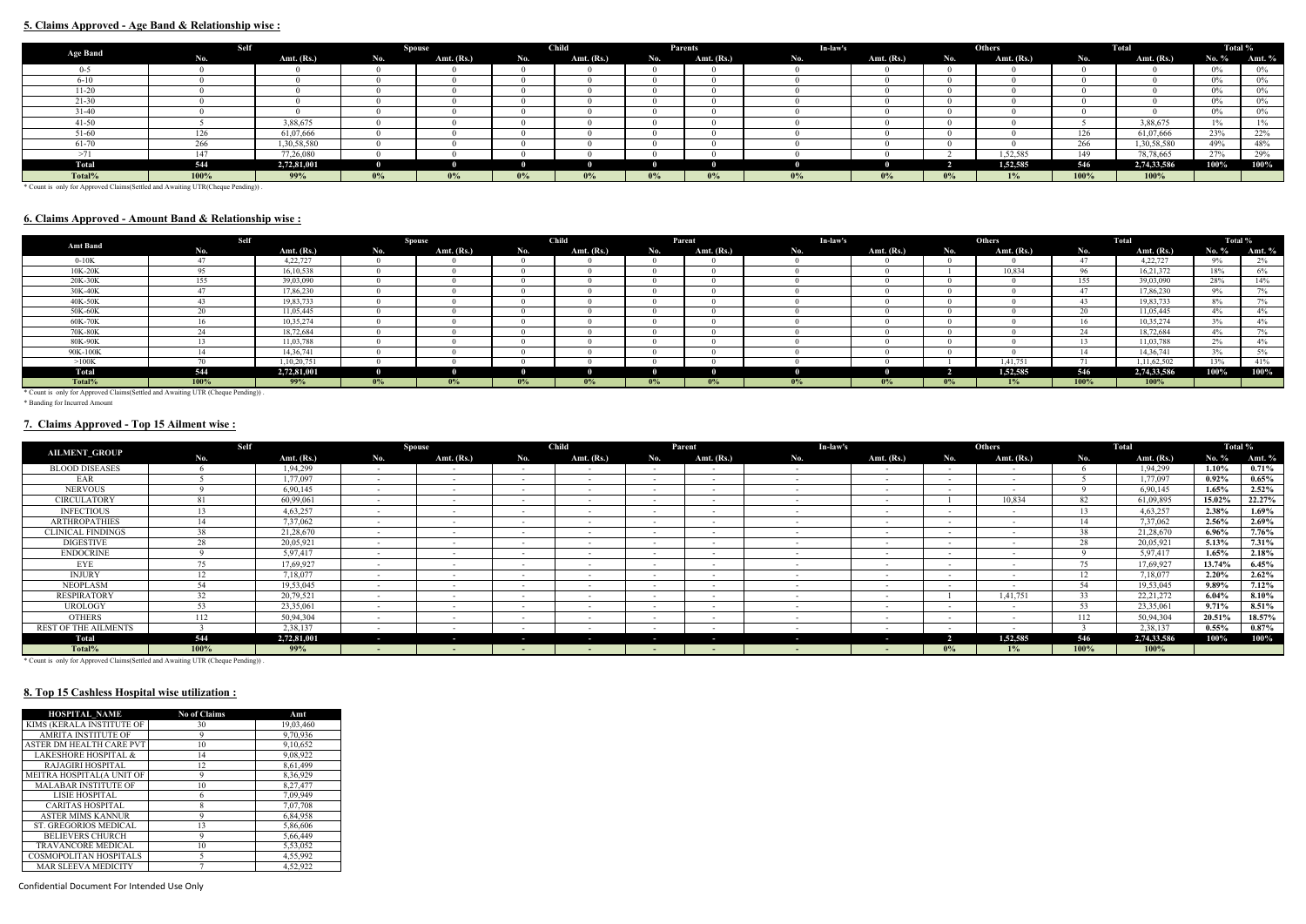## **5. Claims Approved - Age Band & Relationship wise :**

|                                                                                | Self |              |       | <b>Spouse</b> |       | <b>Child</b> |       | Parents      | In-law's |              |       | <b>Others</b> | Total |              | Total % |        |
|--------------------------------------------------------------------------------|------|--------------|-------|---------------|-------|--------------|-------|--------------|----------|--------------|-------|---------------|-------|--------------|---------|--------|
| <b>Age Band</b>                                                                | No.  | Amt. $(Rs.)$ | No.   | Amt. $(Rs.)$  | No.   | Amt. $(Rs.)$ | No.   | Amt. $(Rs.)$ | No.      | Amt. $(Rs.)$ | No.   | Amt. $(Rs.)$  | No.   | Amt. $(Rs.)$ | No. %   | Amt. % |
| $0 - 5$                                                                        |      |              |       |               |       |              |       |              |          |              |       |               |       |              | $0\%$   | 0%     |
| $6 - 10$                                                                       |      |              |       |               |       |              |       |              |          |              |       |               |       |              | $0\%$   | 0%     |
| $11-20$                                                                        |      |              |       |               |       |              |       |              |          |              |       |               |       |              | $0\%$   | 0%     |
| $21 - 30$                                                                      |      |              |       |               |       |              |       |              |          |              |       |               |       |              | $0\%$   | $0\%$  |
| $31 - 40$                                                                      |      |              |       |               |       |              |       |              |          |              |       |               |       | $0\%$        | 0%      |        |
| $41 - 50$                                                                      |      | 3,88,675     |       |               |       |              |       |              |          |              |       |               |       | 3,88,675     |         | $1\%$  |
| 51-60                                                                          | 126  | 61,07,666    |       |               |       |              |       |              |          |              |       |               | 126   | 61,07,666    | 23%     | 22%    |
| 61-70                                                                          | 266  | 1,30,58,580  |       |               |       |              |       |              |          |              |       |               | 266   | 1,30,58,580  | 49%     | 48%    |
| >71                                                                            | 147  | 77,26,080    |       |               |       |              |       |              |          |              |       | 1,52,585      | 149   | 78,78,665    | 27%     | 29%    |
| <b>Total</b>                                                                   | 544  | 2,72,81,001  |       |               |       |              |       |              |          |              |       | 1,52,585      | 546   | 2,74,33,586  | 100%    | 100%   |
| Total%                                                                         | 100% | 99%          | $0\%$ | $0\%$         | $0\%$ | $0\%$        | $0\%$ | $0\%$        | $0\%$    | $0\%$        | $0\%$ | $1\%$         | 100%  | 100%         |         |        |
| * Count is only for Annovad Claims (Sottled and Austrian HTD (Chaoua Bondina)) |      |              |       |               |       |              |       |              |          |              |       |               |       |              |         |        |

\* Count is only for Approved Claims(Settled and Awaiting UTR(Cheque Pending)) .

## **6. Claims Approved - Amount Band & Relationship wise :**

| <b>Amt Band</b>                                                                 | <b>Self</b>    |              |       | <b>Spouse</b> |     | <b>Child</b> |       | Parent                              | In-law's |       |              | <b>Others</b> |                     | Total       | Total % |                 |
|---------------------------------------------------------------------------------|----------------|--------------|-------|---------------|-----|--------------|-------|-------------------------------------|----------|-------|--------------|---------------|---------------------|-------------|---------|-----------------|
|                                                                                 | No.            | Amt. $(Rs.)$ | No.   | Amt. $(Rs.)$  | No. | Amt. $(Rs.)$ | No.   | Amt. $(Rs.)$<br>Amt. $(Rs.)$<br>No. |          | No.   | Amt. $(Rs.)$ | No.           | Amt. $(Rs.)$        | No. $%$     | Amt. %  |                 |
| $0-10K$                                                                         | $\overline{a}$ | 4,22,727     |       |               |     |              |       |                                     |          |       |              |               | 4 <sub>7</sub>      | 4,22,727    | $9\%$   | $2\%$           |
| 10K-20K                                                                         |                | 16, 10, 538  |       |               |     |              |       |                                     |          |       | 10.834       | 96            | 16,21,372           | 18%         | 6%      |                 |
| 20K-30K                                                                         | 155            | 39,03,090    |       |               |     |              |       |                                     |          |       |              | 155           | 39,03,090           | 28%         | 14%     |                 |
| 30K-40K                                                                         |                | 17,86,230    |       |               |     |              |       |                                     |          |       |              |               | $\overline{a}$      | 17,86,230   | $9\%$   | 7%              |
| 40K-50K                                                                         |                | 19,83,733    |       |               |     |              |       |                                     |          |       |              |               |                     | 19,83,733   | 8%      | $-0.1$<br>$1\%$ |
| 50K-60K                                                                         | $\sim$         | 11,05,445    |       |               |     |              |       |                                     |          |       |              |               | $\sim$              | 11,05,445   | 4%      | 4%              |
| 60K-70K                                                                         |                | 10,35,274    |       |               |     |              |       |                                     |          |       |              |               | 16.                 | 10,35,274   | $3\%$   | 4%              |
| 70K-80K                                                                         |                | 18,72,684    |       |               |     |              |       |                                     |          |       |              |               | $\sim$ $\sim$<br>44 | 18,72,684   | $4\%$   | $-0.1$<br>$1\%$ |
| 80K-90K                                                                         |                | 11,03,788    |       |               |     |              |       |                                     |          |       |              |               |                     | 11,03,788   | 2%      | 4%              |
| 90K-100K                                                                        |                | 14,36,741    |       |               |     |              |       |                                     |          |       |              |               | 14                  | 14,36,741   | 3%      | $5\%$           |
| >100K                                                                           |                | 1,10,20,751  |       |               |     |              |       |                                     |          |       |              | 1,41,751      |                     | 1,11,62,502 | 13%     | 41%             |
| Total                                                                           | 544            | 2,72,81,001  |       |               |     |              |       |                                     |          |       |              | 1,52,585      | 546                 | 2,74,33,586 | 100%    | 100%            |
| Total%                                                                          | 100%           | 99%          | $0\%$ | $0\%$         | 0%  | $0\%$        | $0\%$ | $0\%$                               | $0\%$    | $0\%$ | $0\%$        | $1\%$         | 100%                | 100%        |         |                 |
| * Count is only for Approved Claims (Settled and Awaiting HTR (Cheque Pending)) |                |              |       |               |     |              |       |                                     |          |       |              |               |                     |             |         |                 |

ed and Awaiting UTR (Cheque Pending)) . \* Count is only for Approved Clai<br>\* Banding for Incurred Amount

# **7. Claims Approved - Top 15 Ailment wise :**

| <b>AILMENT GROUP</b>                                                                                                                | Self                                                                                                                                                                                                                                   |              |        | <b>Spouse</b>            |        | <b>Child</b> |                          | Parent                   | In-law's |                          |                          | Others                   |                    | Total       | Total %  |          |
|-------------------------------------------------------------------------------------------------------------------------------------|----------------------------------------------------------------------------------------------------------------------------------------------------------------------------------------------------------------------------------------|--------------|--------|--------------------------|--------|--------------|--------------------------|--------------------------|----------|--------------------------|--------------------------|--------------------------|--------------------|-------------|----------|----------|
|                                                                                                                                     | No.                                                                                                                                                                                                                                    | Amt. $(Rs.)$ | No.    | Amt. $(Rs.)$             | No.    | Amt. (Rs.)   | No.                      | Amt. $(Rs.)$             | No.      | Amt. $(Rs.)$             | No.                      | Amt. $(Rs.)$             | No.                | Amt. (Rs.)  | No. %    | Amt. $%$ |
| <b>BLOOD DISEASES</b>                                                                                                               |                                                                                                                                                                                                                                        | 1,94,299     | $\sim$ | $\sim$                   | $\sim$ | $\sim$       | $\sim$                   | $\overline{\phantom{a}}$ |          | $\overline{\phantom{0}}$ | $\overline{\phantom{0}}$ | $\sim$                   |                    | 1,94,299    | 1.10%    | $0.71\%$ |
| EAR                                                                                                                                 |                                                                                                                                                                                                                                        | 1,77,097     | $\sim$ | $\sim$                   | $\sim$ | $\sim$       | $\sim$                   | $\sim$                   |          | $\overline{\phantom{0}}$ | $\overline{\phantom{0}}$ | $\overline{\phantom{a}}$ |                    | 1,77,097    | $0.92\%$ | $0.65\%$ |
| <b>NERVOUS</b>                                                                                                                      |                                                                                                                                                                                                                                        | 6,90,145     | $\sim$ | $\sim$                   | $\sim$ | $\sim$       | $\sim$                   | $\sim$                   |          | $\overline{\phantom{0}}$ |                          | $\overline{\phantom{a}}$ |                    | 6,90,145    | 1.65%    | $2.52\%$ |
| <b>CIRCULATORY</b>                                                                                                                  |                                                                                                                                                                                                                                        | 60,99,061    |        | $\overline{\phantom{0}}$ | $\sim$ | $\sim$       | $\sim$                   |                          |          | $\overline{\phantom{0}}$ |                          | 10,834                   | 82                 | 61,09,895   | 15.02%   | 22.27%   |
| <b>INFECTIOUS</b>                                                                                                                   |                                                                                                                                                                                                                                        | 4,63,257     |        | $\sim$                   | $\sim$ | $\sim$       | $\sim$                   | $\overline{\phantom{a}}$ |          | $\overline{\phantom{0}}$ | $\overline{\phantom{a}}$ | $\sim$                   | 12<br>$\mathbf{E}$ | 4,63,257    | 2.38%    | 1.69%    |
| <b>ARTHROPATHIES</b>                                                                                                                |                                                                                                                                                                                                                                        | 7,37,062     |        | $\sim$                   | $\sim$ | $\sim$       | $\sim$                   | $\overline{\phantom{0}}$ |          | $\overline{\phantom{a}}$ | $\overline{\phantom{a}}$ | $\sim$                   | 14                 | 7,37,062    | $2.56\%$ | $2.69\%$ |
| <b>CLINICAL FINDINGS</b>                                                                                                            | 38                                                                                                                                                                                                                                     | 21,28,670    |        | $\overline{\phantom{0}}$ |        | $\sim$       | $\sim$                   | $\overline{\phantom{a}}$ |          | $\overline{\phantom{0}}$ | $\overline{\phantom{0}}$ |                          | 38                 | 21,28,670   | 6.96%    | $7.76\%$ |
| <b>DIGESTIVE</b>                                                                                                                    | 28                                                                                                                                                                                                                                     | 20,05,921    |        |                          |        |              |                          |                          |          |                          |                          |                          | 28                 | 20,05,921   | $5.13\%$ | $7.31\%$ |
| <b>ENDOCRINE</b>                                                                                                                    |                                                                                                                                                                                                                                        | 5,97,417     | $\sim$ | $\sim$                   | $\sim$ | $\sim$       | $\overline{\phantom{0}}$ | $\overline{\phantom{a}}$ |          | $\overline{\phantom{0}}$ |                          |                          |                    | 5,97,417    | 1.65%    | 2.18%    |
| EYE                                                                                                                                 | 75                                                                                                                                                                                                                                     | 17,69,927    | $-$    | $\sim$                   | $\sim$ | $\sim$       | $\sim$                   | $\overline{\phantom{0}}$ |          | $\overline{\phantom{a}}$ | $\overline{\phantom{a}}$ | $\overline{\phantom{a}}$ | 75                 | 17,69,927   | 13.74%   | $6.45\%$ |
| <b>INJURY</b>                                                                                                                       |                                                                                                                                                                                                                                        | 7,18,077     | $\sim$ | $\overline{\phantom{0}}$ | $\sim$ | $\sim$       | $\sim$                   | $\overline{\phantom{0}}$ |          | $\overline{\phantom{a}}$ | $\sim$                   | $\overline{\phantom{a}}$ | 12<br>12           | 7,18,077    | $2.20\%$ | $2.62\%$ |
| <b>NEOPLASM</b>                                                                                                                     |                                                                                                                                                                                                                                        | 19,53,045    | $\sim$ | $\sim$                   | $\sim$ | $\sim$       | $\overline{\phantom{a}}$ | $\sim$                   |          | $\overline{\phantom{0}}$ | $\sim$                   | $\sim$                   | 54                 | 19,53,045   | $9.89\%$ | $7.12\%$ |
| <b>RESPIRATORY</b>                                                                                                                  | $\mathcal{L}$                                                                                                                                                                                                                          | 20,79,521    | $\sim$ | $\sim$                   | $\sim$ | $\sim$       | $\sim$                   | $\sim$                   |          | $\overline{\phantom{0}}$ |                          | 1,41,751                 | 33                 | 22, 21, 272 | $6.04\%$ | $8.10\%$ |
| <b>UROLOGY</b>                                                                                                                      | 53                                                                                                                                                                                                                                     | 23,35,061    |        | $\sim$                   | $\sim$ | $\sim$       | $\sim$                   | $\sim$                   |          | $\overline{\phantom{0}}$ |                          |                          | 53                 | 23,35,061   | $9.71\%$ | 8.51%    |
| OTHERS                                                                                                                              | 112                                                                                                                                                                                                                                    | 50,94,304    |        | $\overline{\phantom{0}}$ |        | $\sim$       | $\overline{\phantom{0}}$ | $\overline{\phantom{a}}$ |          | $\overline{\phantom{0}}$ |                          |                          | 112                | 50,94,304   | 20.51%   | 18.57%   |
| <b>REST OF THE AILMENTS</b>                                                                                                         |                                                                                                                                                                                                                                        | 2,38,137     |        |                          |        |              |                          |                          |          | $\overline{\phantom{a}}$ |                          |                          |                    | 2,38,137    | $0.55\%$ | $0.87\%$ |
| Total                                                                                                                               | 544                                                                                                                                                                                                                                    | 2,72,81,001  |        | $\sim$                   | . .    | $\sim$       | $\sim$                   | $\sim$                   | ٠        |                          |                          | 1,52,585                 | 546                | 2,74,33,586 | 100%     | 100%     |
| Total%<br>$\mathcal{A}$ and $\mathcal{A}$ and $\mathcal{A}$ and $\mathcal{A}$ and $\mathcal{A}$ and $\mathcal{A}$ and $\mathcal{A}$ | 100%<br>the state of the state of the state of the state of the state of the state of the state of the state of the state of the state of the state of the state of the state of the state of the state of the state of the state of t | 99%          |        | $\overline{\phantom{a}}$ |        |              | $\overline{\phantom{0}}$ | $\overline{\phantom{a}}$ |          | $\overline{a}$           | $0\%$                    | $1\%$                    | 100%               | 100%        |          |          |

\* Count is only for Approved Claims(Settled and Awaiting UTR (Cheque Pending)) .

# **8. Top 15 Cashless Hospital wise utilization :**

| <b>HOSPITAL NAME</b>            | <b>No of Claims</b> | Amt       |
|---------------------------------|---------------------|-----------|
| KIMS (KERALA INSTITUTE OF       | 30                  | 19,03,460 |
| <b>AMRITA INSTITUTE OF</b>      | 9                   | 9,70,936  |
| ASTER DM HEALTH CARE PVT        | 10                  | 9,10,652  |
| <b>LAKESHORE HOSPITAL &amp;</b> | 14                  | 9,08,922  |
| <b>RAJAGIRI HOSPITAL</b>        | 12                  | 8,61,499  |
| MEITRA HOSPITAL(A UNIT OF       | 9                   | 8,36,929  |
| <b>MALABAR INSTITUTE OF</b>     | 10                  | 8,27,477  |
| LISIE HOSPITAL                  | 6                   | 7,09,949  |
| <b>CARITAS HOSPITAL</b>         | 8                   | 7,07,708  |
| <b>ASTER MIMS KANNUR</b>        | 9                   | 6,84,958  |
| <b>ST. GREGORIOS MEDICAL</b>    | 13                  | 5,86,606  |
| <b>BELIEVERS CHURCH</b>         | 9                   | 5,66,449  |
| <b>TRAVANCORE MEDICAL</b>       | 10                  | 5,53,052  |
| COSMOPOLITAN HOSPITALS          | 5                   | 4,55,992  |
| <b>MAR SLEEVA MEDICITY</b>      |                     | 4.52.922  |

Confidential Document For Intended Use Only